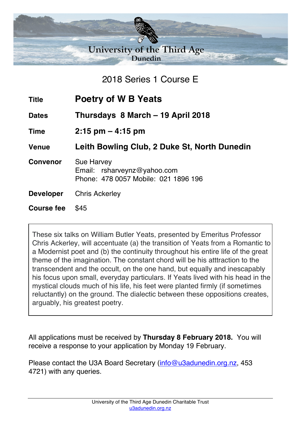

2018 Series 1 Course E

| <b>Title</b>      | Poetry of W B Yeats                                                                      |
|-------------------|------------------------------------------------------------------------------------------|
| <b>Dates</b>      | Thursdays 8 March - 19 April 2018                                                        |
| <b>Time</b>       | $2:15$ pm $-4:15$ pm                                                                     |
| <b>Venue</b>      | Leith Bowling Club, 2 Duke St, North Dunedin                                             |
| <b>Convenor</b>   | <b>Sue Harvey</b><br>Email: rsharveynz@yahoo.com<br>Phone: 478 0057 Mobile: 021 1896 196 |
| <b>Developer</b>  | <b>Chris Ackerley</b>                                                                    |
| <b>Course fee</b> | \$45                                                                                     |

These six talks on William Butler Yeats, presented by Emeritus Professor Chris Ackerley, will accentuate (a) the transition of Yeats from a Romantic to a Modernist poet and (b) the continuity throughout his entire life of the great theme of the imagination. The constant chord will be his atttraction to the transcendent and the occult, on the one hand, but equally and inescapably his focus upon small, everyday particulars. If Yeats lived with his head in the mystical clouds much of his life, his feet were planted firmly (if sometimes reluctantly) on the ground. The dialectic between these oppositions creates, arguably, his greatest poetry.

All applications must be received by **Thursday 8 February 2018.** You will receive a response to your application by Monday 19 February.

Please contact the U3A Board Secretary (info@u3adunedin.org.nz, 453 4721) with any queries.